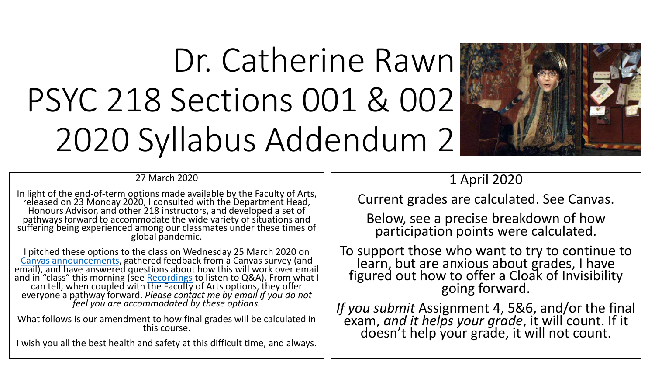# Dr. Catherine Rawn PSYC 218 Sections 001 & 002 2020 Syllabus Addendum 2



27 March 2020

In light of the end-of-term options made available by the Faculty of Arts, released on 23 Monday 2020, I consulted with the Department Head, Honours Advisor, and other 218 instructors, and developed a set of pathways forward to accommodate the wide variety of situations and suffering being experienced among our classmates under these times of global pandemic.

I pitched these options to the class on Wednesday 25 March 2020 on [Canvas announcements,](https://canvas.ubc.ca/courses/38467/discussion_topics/476956) gathered feedback from a Canvas survey (and email), and have answered questions about how this will work over email and in "class" this morning (see <u>[Recordings](https://canvas.ubc.ca/courses/38467/external_tools/5284)</u> to listen to Q&A). From what I can tell, when coupled with the Faculty of Arts options, they offer everyone a pathway forward. *Please contact me by email if you do not feel you are accommodated by these options.*

What follows is our amendment to how final grades will be calculated in this course.

I wish you all the best health and safety at this difficult time, and always.

## 1 April 2020

Current grades are calculated. See Canvas.

Below, see a precise breakdown of how participation points were calculated.

To support those who want to try to continue to learn, but are anxious about grades, I have figured out how to offer a Cloak of Invisibility going forward.

*If you submit* Assignment 4, 5&6, and/or the final exam, *and it helps your grade*, it will count. If it doesn't help your grade, it will not count.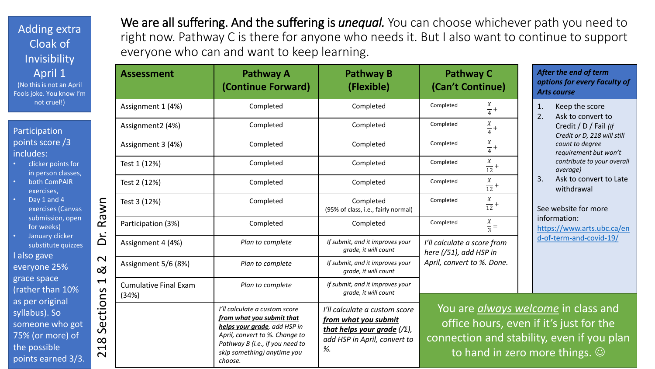Adding extra Cloak of Invisibility April 1 (No this is not an April Fools joke. You know I'm not cruel!)

#### Participation points score /3 includes:

- clicker points for in person classes,
- both ComPAIR exercises,
- Day 1 and 4 exercises (Canvas submission, open for weeks)
- January clicker substitute quizzes

I also gave everyone 25% grace space (rather than 10% as per original syllabus). So someone who got 75% (or more) of the possible points earned 3/3. We are all suffering. And the suffering is *unequal*. You can choose whichever path you need to right now. Pathway C is there for anyone who needs it. But I also want to continue to support everyone who can and want to keep learning.

|                                                                                                                                | <b>Assessment</b>                     | <b>Pathway A</b><br>(Continue Forward)                                                                                                                                                                    | <b>Pathway B</b><br>(Flexible)                                                                                                      | <b>Pathway C</b><br>(Can't Continue)                                                                   | Ą<br> O <br>A                      |  |
|--------------------------------------------------------------------------------------------------------------------------------|---------------------------------------|-----------------------------------------------------------------------------------------------------------------------------------------------------------------------------------------------------------|-------------------------------------------------------------------------------------------------------------------------------------|--------------------------------------------------------------------------------------------------------|------------------------------------|--|
| Rawn<br>δ.<br>$\mathbf{\Omega}$<br><u>ನ</u><br>$\blacktriangleleft$<br>Sections<br>$\infty$<br>$\blacktriangleright$<br>$\sim$ | Assignment 1 (4%)                     | Completed                                                                                                                                                                                                 | Completed                                                                                                                           | Completed<br>$\frac{X}{4}$ +                                                                           | $\mathbf{1}$<br>2.                 |  |
|                                                                                                                                | Assignment2 (4%)                      | Completed                                                                                                                                                                                                 | Completed                                                                                                                           | $\frac{X}{4}$ +<br>Completed                                                                           |                                    |  |
|                                                                                                                                | Assignment 3 (4%)                     | Completed                                                                                                                                                                                                 | Completed                                                                                                                           | $\frac{X}{4}$ +<br>Completed                                                                           |                                    |  |
|                                                                                                                                | Test 1 (12%)                          | Completed                                                                                                                                                                                                 | Completed                                                                                                                           | $\frac{X}{12}$ +<br>Completed                                                                          |                                    |  |
|                                                                                                                                | Test 2 (12%)                          | Completed                                                                                                                                                                                                 | Completed                                                                                                                           | $\frac{X}{12}$ +<br>Completed                                                                          | 3.                                 |  |
|                                                                                                                                | Test 3 (12%)                          | Completed                                                                                                                                                                                                 | Completed<br>(95% of class, i.e., fairly normal)                                                                                    | $\frac{X}{12}$ +<br>Completed                                                                          | S <sub>0</sub>                     |  |
|                                                                                                                                | Participation (3%)                    | Completed                                                                                                                                                                                                 | Completed                                                                                                                           | X<br>Completed<br>$\frac{1}{3}$ =                                                                      | in<br>$\overline{\mathsf{h}}$<br>d |  |
|                                                                                                                                | Assignment 4 (4%)                     | Plan to complete                                                                                                                                                                                          | If submit, and it improves your<br>grade, it will count                                                                             | I'll calculate a score from<br>here (/51), add HSP in                                                  |                                    |  |
|                                                                                                                                | Assignment 5/6 (8%)                   | Plan to complete                                                                                                                                                                                          | If submit, and it improves your<br>grade, it will count                                                                             | April, convert to %. Done.                                                                             |                                    |  |
|                                                                                                                                | <b>Cumulative Final Exam</b><br>(34%) | Plan to complete                                                                                                                                                                                          | If submit, and it improves your<br>grade, it will count                                                                             |                                                                                                        |                                    |  |
|                                                                                                                                |                                       | I'll calculate a custom score<br>from what you submit that<br>helps your grade, add HSP in<br>April, convert to %. Change to<br>Pathway B (i.e., if you need to<br>skip something) anytime you<br>choose. | I'll calculate a custom score<br>from what you submit<br>that helps your grade $(\sqrt{2})$ ,<br>add HSP in April, convert to<br>%. | You are <i>glways welco</i><br>office hours, even if<br>connection and stability<br>to hand in zero mo |                                    |  |

#### *After the end of term options for every Faculty of Arts course*

- Keep the score
- Ask to convert to
	- Credit / D / Fail *(if Credit or D, 218 will still count to degree requirement but won't contribute to your overall average)*
- Ask to convert to Late withdrawal

ee website for more information: ttps://www.arts.ubc.ca/en d-of-term-and-covid-19/

*me* in class and it's just for the even if you plan re things.  $\odot$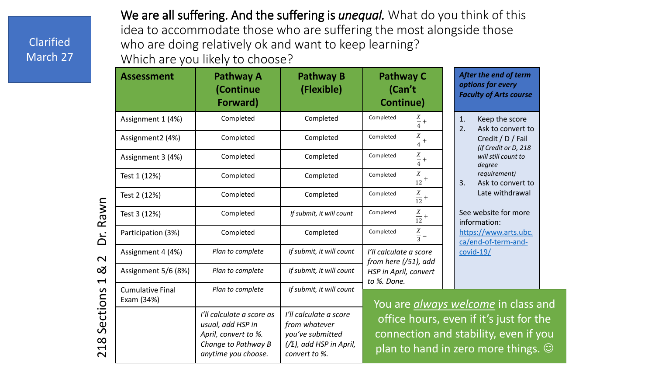## Clarified March 27

We are all suffering. And the suffering is *unequal.* What do you think of this idea to accommodate those who are suffering the most alongside those who are doing relatively ok and want to keep learning? Which are you likely to choose?

|                                                                                    | <b>Assessment</b>                     | <b>Pathway A</b><br>(Continue<br>Forward)                                                                            | <b>Pathway B</b><br>(Flexible)                                                                                    | <b>Pathway C</b><br>(Can't<br>Continue)                                                                                                                                     | After the end of term<br>options for every<br><b>Faculty of Arts course</b> |  |
|------------------------------------------------------------------------------------|---------------------------------------|----------------------------------------------------------------------------------------------------------------------|-------------------------------------------------------------------------------------------------------------------|-----------------------------------------------------------------------------------------------------------------------------------------------------------------------------|-----------------------------------------------------------------------------|--|
| Rawn<br>ن<br>ا<br>$\overline{\mathsf{C}}$<br>ౘ<br>$\blacktriangleleft$<br>Sections | Assignment 1 (4%)                     | Completed                                                                                                            | Completed                                                                                                         | Completed<br>$\frac{X}{4}$ +                                                                                                                                                | 1.<br>Keep the score<br>2.<br>Ask to convert to                             |  |
|                                                                                    | Assignment2 (4%)                      | Completed                                                                                                            | Completed                                                                                                         | $\frac{X}{4}$ +<br>Completed                                                                                                                                                | Credit / D / Fail<br>(if Credit or D, 218                                   |  |
|                                                                                    | Assignment 3 (4%)                     | Completed                                                                                                            | Completed                                                                                                         | $\frac{X}{4} +$<br>Completed                                                                                                                                                | will still count to<br>degree                                               |  |
|                                                                                    | Test 1 (12%)                          | Completed                                                                                                            | Completed                                                                                                         | $\frac{X}{12}$ +<br>Completed                                                                                                                                               | requirement)<br>3.<br>Ask to convert to                                     |  |
|                                                                                    | Test 2 (12%)                          | Completed                                                                                                            | Completed                                                                                                         | $\frac{X}{12}$ +<br>Completed                                                                                                                                               | Late withdrawal                                                             |  |
|                                                                                    | Test 3 (12%)                          | Completed                                                                                                            | If submit, it will count                                                                                          | Completed<br>$\frac{X}{12}$ +                                                                                                                                               | See website for more<br>information:                                        |  |
|                                                                                    | Participation (3%)                    | Completed                                                                                                            | Completed                                                                                                         | $\frac{X}{3} =$<br>Completed                                                                                                                                                | https://www.arts.ubc.<br>ca/end-of-term-and-                                |  |
|                                                                                    | Assignment 4 (4%)                     | Plan to complete                                                                                                     | If submit, it will count                                                                                          | I'll calculate a score<br>$covid-19/$                                                                                                                                       |                                                                             |  |
|                                                                                    | Assignment 5/6 (8%)                   | Plan to complete                                                                                                     | If submit, it will count                                                                                          | from here $( /51)$ , add<br>HSP in April, convert                                                                                                                           |                                                                             |  |
|                                                                                    | <b>Cumulative Final</b><br>Exam (34%) | Plan to complete                                                                                                     | If submit, it will count                                                                                          | to %. Done.                                                                                                                                                                 |                                                                             |  |
| $\infty$<br>$\overline{\phantom{0}}$<br>$\overline{\mathsf{C}}$                    |                                       | I'll calculate a score as<br>usual, add HSP in<br>April, convert to %.<br>Change to Pathway B<br>anytime you choose. | I'll calculate a score<br>from whatever<br>you've submitted<br>$\frac{1}{2}$ , add HSP in April,<br>convert to %. | You are <i>always welcome</i> in class and<br>office hours, even if it's just for the<br>connection and stability, even if you<br>plan to hand in zero more things. $\odot$ |                                                                             |  |